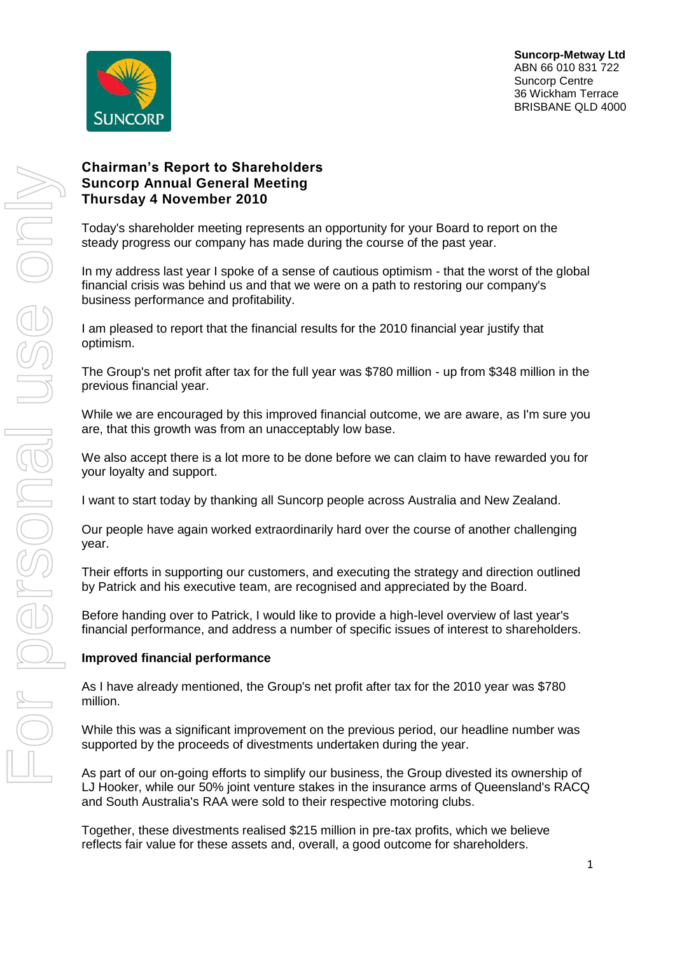

# **Chairman's Report to Shareholders Suncorp Annual General Meeting Thursday 4 November 2010**

Today's shareholder meeting represents an opportunity for your Board to report on the steady progress our company has made during the course of the past year.

In my address last year I spoke of a sense of cautious optimism - that the worst of the global financial crisis was behind us and that we were on a path to restoring our company's business performance and profitability.

I am pleased to report that the financial results for the 2010 financial year justify that optimism.

The Group's net profit after tax for the full year was \$780 million - up from \$348 million in the previous financial year.

While we are encouraged by this improved financial outcome, we are aware, as I'm sure you are, that this growth was from an unacceptably low base.

We also accept there is a lot more to be done before we can claim to have rewarded you for your loyalty and support.

I want to start today by thanking all Suncorp people across Australia and New Zealand.

Our people have again worked extraordinarily hard over the course of another challenging year.

Their efforts in supporting our customers, and executing the strategy and direction outlined by Patrick and his executive team, are recognised and appreciated by the Board.

Before handing over to Patrick, I would like to provide a high-level overview of last year's financial performance, and address a number of specific issues of interest to shareholders.

## **Improved financial performance**

As I have already mentioned, the Group's net profit after tax for the 2010 year was \$780 million.

While this was a significant improvement on the previous period, our headline number was supported by the proceeds of divestments undertaken during the year.

As part of our on-going efforts to simplify our business, the Group divested its ownership of LJ Hooker, while our 50% joint venture stakes in the insurance arms of Queensland's RACQ and South Australia's RAA were sold to their respective motoring clubs.

Together, these divestments realised \$215 million in pre-tax profits, which we believe reflects fair value for these assets and, overall, a good outcome for shareholders.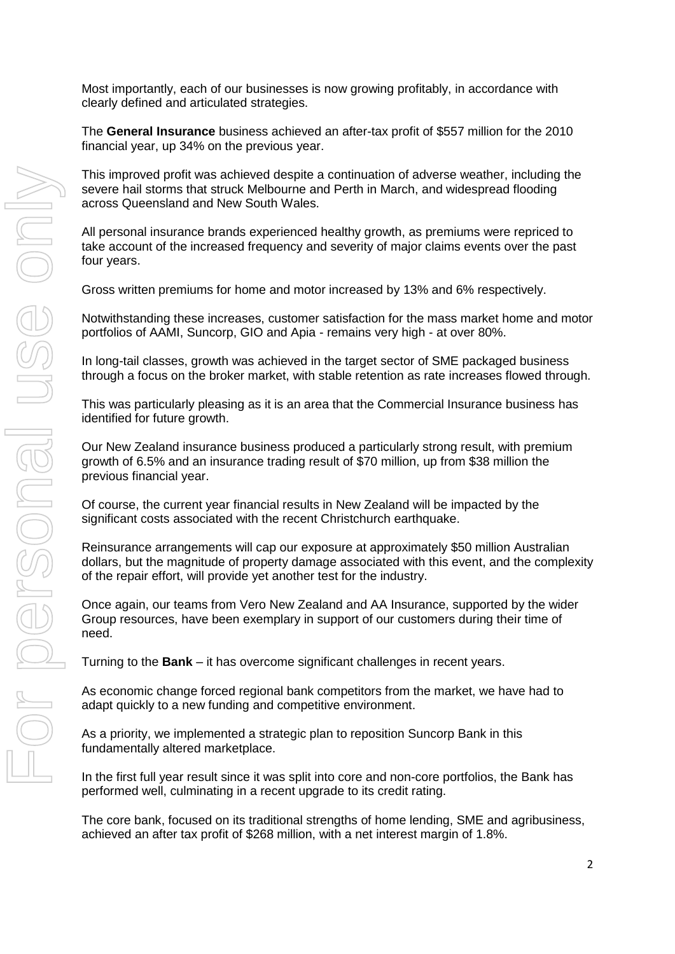Most importantly, each of our businesses is now growing profitably, in accordance with clearly defined and articulated strategies.

The **General Insurance** business achieved an after-tax profit of \$557 million for the 2010 financial year, up 34% on the previous year.

This improved profit was achieved despite a continuation of adverse weather, including the severe hail storms that struck Melbourne and Perth in March, and widespread flooding across Queensland and New South Wales.

All personal insurance brands experienced healthy growth, as premiums were repriced to take account of the increased frequency and severity of major claims events over the past four years.

Gross written premiums for home and motor increased by 13% and 6% respectively.

Notwithstanding these increases, customer satisfaction for the mass market home and motor portfolios of AAMI, Suncorp, GIO and Apia - remains very high - at over 80%.

In long-tail classes, growth was achieved in the target sector of SME packaged business through a focus on the broker market, with stable retention as rate increases flowed through.

This was particularly pleasing as it is an area that the Commercial Insurance business has identified for future growth.

Our New Zealand insurance business produced a particularly strong result, with premium growth of 6.5% and an insurance trading result of \$70 million, up from \$38 million the previous financial year.

Of course, the current year financial results in New Zealand will be impacted by the significant costs associated with the recent Christchurch earthquake.

Reinsurance arrangements will cap our exposure at approximately \$50 million Australian dollars, but the magnitude of property damage associated with this event, and the complexity of the repair effort, will provide yet another test for the industry.

Once again, our teams from Vero New Zealand and AA Insurance, supported by the wider Group resources, have been exemplary in support of our customers during their time of need.

Turning to the **Bank** – it has overcome significant challenges in recent years.

As economic change forced regional bank competitors from the market, we have had to adapt quickly to a new funding and competitive environment.

As a priority, we implemented a strategic plan to reposition Suncorp Bank in this fundamentally altered marketplace.

In the first full year result since it was split into core and non-core portfolios, the Bank has performed well, culminating in a recent upgrade to its credit rating.

The core bank, focused on its traditional strengths of home lending, SME and agribusiness, achieved an after tax profit of \$268 million, with a net interest margin of 1.8%.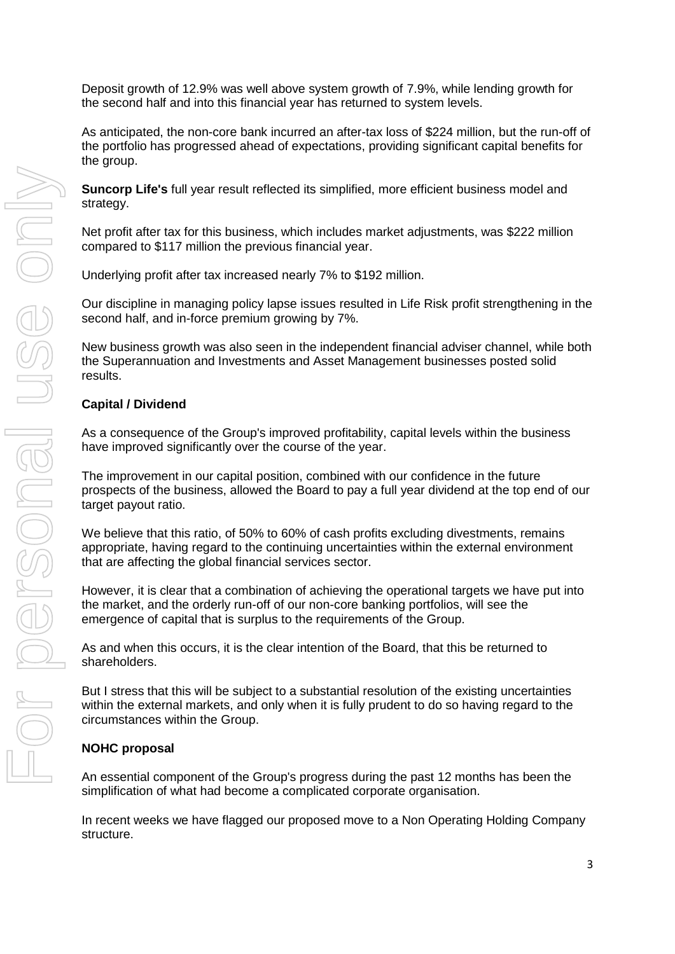Deposit growth of 12.9% was well above system growth of 7.9%, while lending growth for the second half and into this financial year has returned to system levels.

As anticipated, the non-core bank incurred an after-tax loss of \$224 million, but the run-off of the portfolio has progressed ahead of expectations, providing significant capital benefits for the group.

**Suncorp Life's** full year result reflected its simplified, more efficient business model and strategy.

Net profit after tax for this business, which includes market adjustments, was \$222 million compared to \$117 million the previous financial year.

Underlying profit after tax increased nearly 7% to \$192 million.

Our discipline in managing policy lapse issues resulted in Life Risk profit strengthening in the second half, and in-force premium growing by 7%.

New business growth was also seen in the independent financial adviser channel, while both the Superannuation and Investments and Asset Management businesses posted solid results.

## **Capital / Dividend**

As a consequence of the Group's improved profitability, capital levels within the business have improved significantly over the course of the year.

The improvement in our capital position, combined with our confidence in the future prospects of the business, allowed the Board to pay a full year dividend at the top end of our target payout ratio.

We believe that this ratio, of 50% to 60% of cash profits excluding divestments, remains appropriate, having regard to the continuing uncertainties within the external environment that are affecting the global financial services sector.

However, it is clear that a combination of achieving the operational targets we have put into the market, and the orderly run-off of our non-core banking portfolios, will see the emergence of capital that is surplus to the requirements of the Group.

As and when this occurs, it is the clear intention of the Board, that this be returned to shareholders.

But I stress that this will be subject to a substantial resolution of the existing uncertainties within the external markets, and only when it is fully prudent to do so having regard to the circumstances within the Group.

## **NOHC proposal**

An essential component of the Group's progress during the past 12 months has been the simplification of what had become a complicated corporate organisation.

In recent weeks we have flagged our proposed move to a Non Operating Holding Company structure.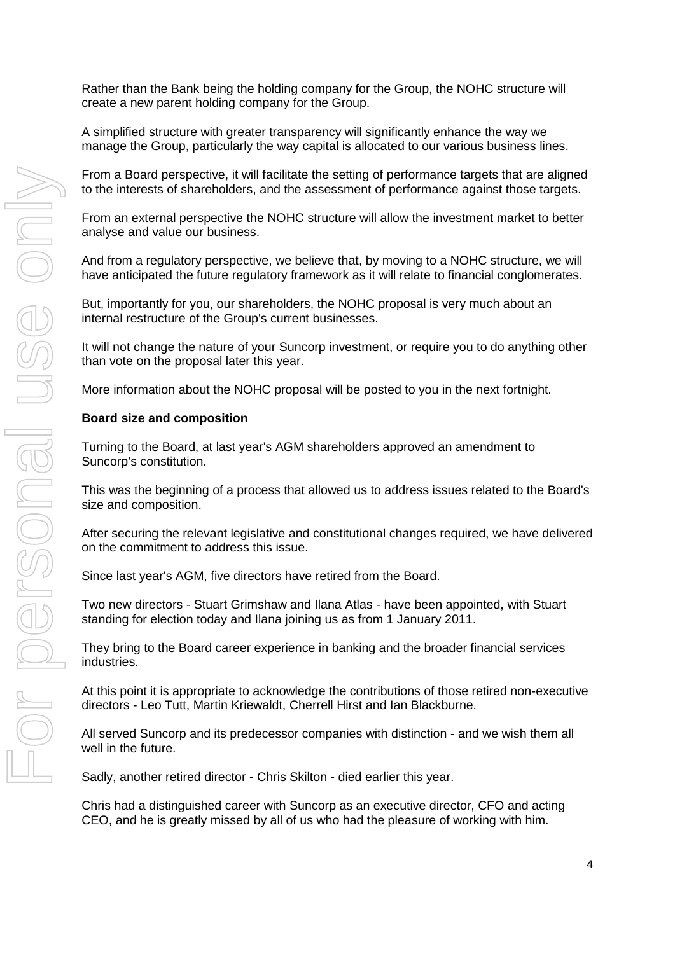Rather than the Bank being the holding company for the Group, the NOHC structure will create a new parent holding company for the Group.

A simplified structure with greater transparency will significantly enhance the way we manage the Group, particularly the way capital is allocated to our various business lines.

From a Board perspective, it will facilitate the setting of performance targets that are aligned to the interests of shareholders, and the assessment of performance against those targets.

From an external perspective the NOHC structure will allow the investment market to better analyse and value our business.

And from a regulatory perspective, we believe that, by moving to a NOHC structure, we will have anticipated the future regulatory framework as it will relate to financial conglomerates.

But, importantly for you, our shareholders, the NOHC proposal is very much about an internal restructure of the Group's current businesses.

It will not change the nature of your Suncorp investment, or require you to do anything other than vote on the proposal later this year.

More information about the NOHC proposal will be posted to you in the next fortnight.

#### **Board size and composition**

Turning to the Board, at last year's AGM shareholders approved an amendment to Suncorp's constitution.

This was the beginning of a process that allowed us to address issues related to the Board's size and composition.

After securing the relevant legislative and constitutional changes required, we have delivered on the commitment to address this issue.

Since last year's AGM, five directors have retired from the Board.

Two new directors - Stuart Grimshaw and Ilana Atlas - have been appointed, with Stuart standing for election today and Ilana joining us as from 1 January 2011.

They bring to the Board career experience in banking and the broader financial services industries.

At this point it is appropriate to acknowledge the contributions of those retired non-executive directors - Leo Tutt, Martin Kriewaldt, Cherrell Hirst and Ian Blackburne.

All served Suncorp and its predecessor companies with distinction - and we wish them all well in the future.

Sadly, another retired director - Chris Skilton - died earlier this year.

Chris had a distinguished career with Suncorp as an executive director, CFO and acting CEO, and he is greatly missed by all of us who had the pleasure of working with him.